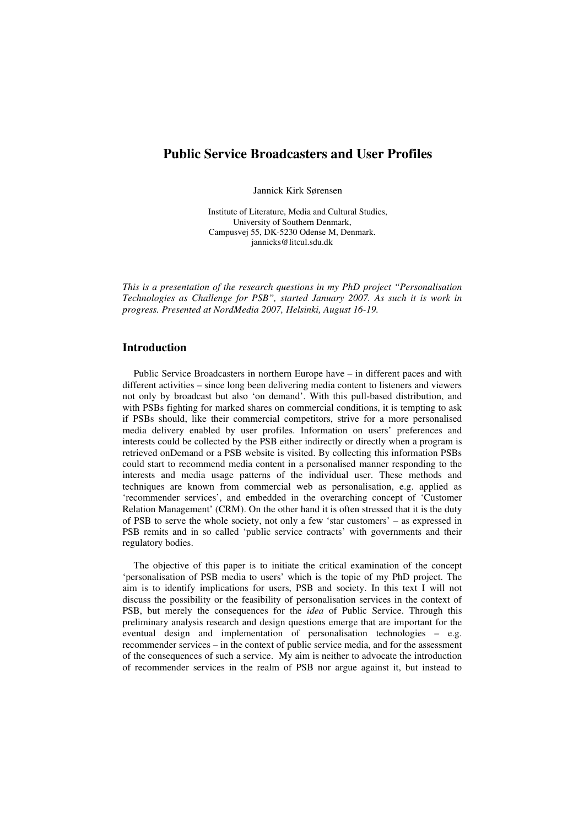# **Public Service Broadcasters and User Profiles**

Jannick Kirk Sørensen

Institute of Literature, Media and Cultural Studies, University of Southern Denmark, Campusvej 55, DK-5230 Odense M, Denmark. jannicks@litcul.sdu.dk

*This is a presentation of the research questions in my PhD project "Personalisation Technologies as Challenge for PSB", started January 2007. As such it is work in progress. Presented at NordMedia 2007, Helsinki, August 16-19.*

# **Introduction**

Public Service Broadcasters in northern Europe have – in different paces and with different activities – since long been delivering media content to listeners and viewers not only by broadcast but also 'on demand'. With this pull-based distribution, and with PSBs fighting for marked shares on commercial conditions, it is tempting to ask if PSBs should, like their commercial competitors, strive for a more personalised media delivery enabled by user profiles. Information on users' preferences and interests could be collected by the PSB either indirectly or directly when a program is retrieved onDemand or a PSB website is visited. By collecting this information PSBs could start to recommend media content in a personalised manner responding to the interests and media usage patterns of the individual user. These methods and techniques are known from commercial web as personalisation, e.g. applied as 'recommender services', and embedded in the overarching concept of 'Customer Relation Management' (CRM). On the other hand it is often stressed that it is the duty of PSB to serve the whole society, not only a few 'star customers' – as expressed in PSB remits and in so called 'public service contracts' with governments and their regulatory bodies.

The objective of this paper is to initiate the critical examination of the concept 'personalisation of PSB media to users' which is the topic of my PhD project. The aim is to identify implications for users, PSB and society. In this text I will not discuss the possibility or the feasibility of personalisation services in the context of PSB, but merely the consequences for the *idea* of Public Service. Through this preliminary analysis research and design questions emerge that are important for the eventual design and implementation of personalisation technologies – e.g. recommender services – in the context of public service media, and for the assessment of the consequences of such a service. My aim is neither to advocate the introduction of recommender services in the realm of PSB nor argue against it, but instead to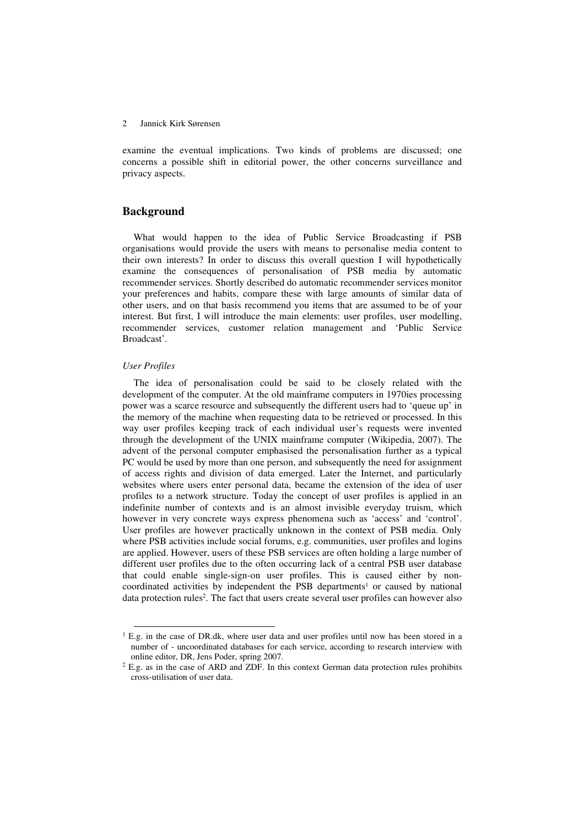examine the eventual implications. Two kinds of problems are discussed; one concerns a possible shift in editorial power, the other concerns surveillance and privacy aspects.

# **Background**

What would happen to the idea of Public Service Broadcasting if PSB organisations would provide the users with means to personalise media content to their own interests? In order to discuss this overall question I will hypothetically examine the consequences of personalisation of PSB media by automatic recommender services. Shortly described do automatic recommender services monitor your preferences and habits, compare these with large amounts of similar data of other users, and on that basis recommend you items that are assumed to be of your interest. But first, I will introduce the main elements: user profiles, user modelling, recommender services, customer relation management and 'Public Service Broadcast'.

#### *User Profiles*

The idea of personalisation could be said to be closely related with the development of the computer. At the old mainframe computers in 1970ies processing power was a scarce resource and subsequently the different users had to 'queue up' in the memory of the machine when requesting data to be retrieved or processed. In this way user profiles keeping track of each individual user's requests were invented through the development of the UNIX mainframe computer (Wikipedia, 2007). The advent of the personal computer emphasised the personalisation further as a typical PC would be used by more than one person, and subsequently the need for assignment of access rights and division of data emerged. Later the Internet, and particularly websites where users enter personal data, became the extension of the idea of user profiles to a network structure. Today the concept of user profiles is applied in an indefinite number of contexts and is an almost invisible everyday truism, which however in very concrete ways express phenomena such as 'access' and 'control'. User profiles are however practically unknown in the context of PSB media. Only where PSB activities include social forums, e.g. communities, user profiles and logins are applied. However, users of these PSB services are often holding a large number of different user profiles due to the often occurring lack of a central PSB user database that could enable single-sign-on user profiles. This is caused either by noncoordinated activities by independent the PSB departments <sup>1</sup> or caused by national data protection rules 2 . The fact that users create several user profiles can however also

 $1$  E.g. in the case of DR.dk, where user data and user profiles until now has been stored in a number of - uncoordinated databases for each service, according to research interview with online editor, DR, Jens Poder, spring 2007.

 $2$  E.g. as in the case of ARD and ZDF. In this context German data protection rules prohibits cross-utilisation of user data.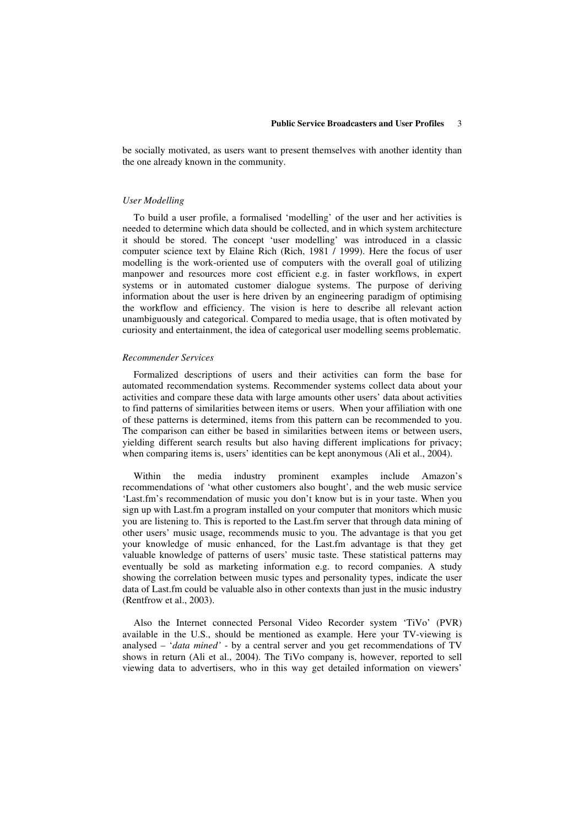be socially motivated, as users want to present themselves with another identity than the one already known in the community.

### *User Modelling*

To build a user profile, a formalised 'modelling' of the user and her activities is needed to determine which data should be collected, and in which system architecture it should be stored. The concept 'user modelling' was introduced in a classic computer science text by Elaine Rich (Rich, 1981 / 1999). Here the focus of user modelling is the work-oriented use of computers with the overall goal of utilizing manpower and resources more cost efficient e.g. in faster workflows, in expert systems or in automated customer dialogue systems. The purpose of deriving information about the user is here driven by an engineering paradigm of optimising the workflow and efficiency. The vision is here to describe all relevant action unambiguously and categorical. Compared to media usage, that is often motivated by curiosity and entertainment, the idea of categorical user modelling seems problematic.

#### *Recommender Services*

Formalized descriptions of users and their activities can form the base for automated recommendation systems. Recommender systems collect data about your activities and compare these data with large amounts other users' data about activities to find patterns of similarities between items or users. When your affiliation with one of these patterns is determined, items from this pattern can be recommended to you. The comparison can either be based in similarities between items or between users, yielding different search results but also having different implications for privacy; when comparing items is, users' identities can be kept anonymous (Ali et al., 2004).

Within the media industry prominent examples include Amazon's recommendations of 'what other customers also bought', and the web music service 'Last.fm's recommendation of music you don't know but is in your taste. When you sign up with Last.fm a program installed on your computer that monitors which music you are listening to. This is reported to the Last.fm server that through data mining of other users' music usage, recommends music to you. The advantage is that you get your knowledge of music enhanced, for the Last.fm advantage is that they get valuable knowledge of patterns of users' music taste. These statistical patterns may eventually be sold as marketing information e.g. to record companies. A study showing the correlation between music types and personality types, indicate the user data of Last.fm could be valuable also in other contexts than just in the music industry (Rentfrow et al., 2003).

Also the Internet connected Personal Video Recorder system 'TiVo' (PVR) available in the U.S., should be mentioned as example. Here your TV-viewing is analysed – '*data mined'* - by a central server and you get recommendations of TV shows in return (Ali et al., 2004). The TiVo company is, however, reported to sell viewing data to advertisers, who in this way get detailed information on viewers'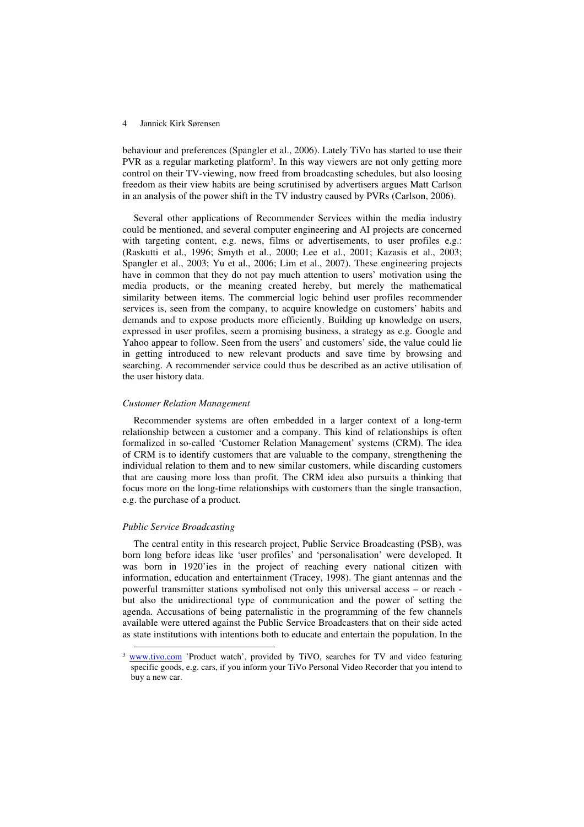behaviour and preferences (Spangler et al., 2006). Lately TiVo has started to use their PVR as a regular marketing platform<sup>3</sup>. In this way viewers are not only getting more control on their TV-viewing, now freed from broadcasting schedules, but also loosing freedom as their view habits are being scrutinised by advertisers argues Matt Carlson in an analysis of the power shift in the TV industry caused by PVRs (Carlson, 2006).

Several other applications of Recommender Services within the media industry could be mentioned, and several computer engineering and AI projects are concerned with targeting content, e.g. news, films or advertisements, to user profiles e.g.: (Raskutti et al., 1996; Smyth et al., 2000; Lee et al., 2001; Kazasis et al., 2003; Spangler et al., 2003; Yu et al., 2006; Lim et al., 2007). These engineering projects have in common that they do not pay much attention to users' motivation using the media products, or the meaning created hereby, but merely the mathematical similarity between items. The commercial logic behind user profiles recommender services is, seen from the company, to acquire knowledge on customers' habits and demands and to expose products more efficiently. Building up knowledge on users, expressed in user profiles, seem a promising business, a strategy as e.g. Google and Yahoo appear to follow. Seen from the users' and customers' side, the value could lie in getting introduced to new relevant products and save time by browsing and searching. A recommender service could thus be described as an active utilisation of the user history data.

## *Customer Relation Management*

Recommender systems are often embedded in a larger context of a long-term relationship between a customer and a company. This kind of relationships is often formalized in so-called 'Customer Relation Management' systems (CRM). The idea of CRM is to identify customers that are valuable to the company, strengthening the individual relation to them and to new similar customers, while discarding customers that are causing more loss than profit. The CRM idea also pursuits a thinking that focus more on the long-time relationships with customers than the single transaction, e.g. the purchase of a product.

### *Public Service Broadcasting*

The central entity in this research project, Public Service Broadcasting (PSB), was born long before ideas like 'user profiles' and 'personalisation' were developed. It was born in 1920'ies in the project of reaching every national citizen with information, education and entertainment (Tracey, 1998). The giant antennas and the powerful transmitter stations symbolised not only this universal access – or reach but also the unidirectional type of communication and the power of setting the agenda. Accusations of being paternalistic in the programming of the few channels available were uttered against the Public Service Broadcasters that on their side acted as state institutions with intentions both to educate and entertain the population. In the

<sup>&</sup>lt;sup>3</sup> www.tivo.com 'Product watch', provided by TiVO, searches for TV and video featuring specific goods, e.g. cars, if you inform your TiVo Personal Video Recorder that you intend to buy a new car.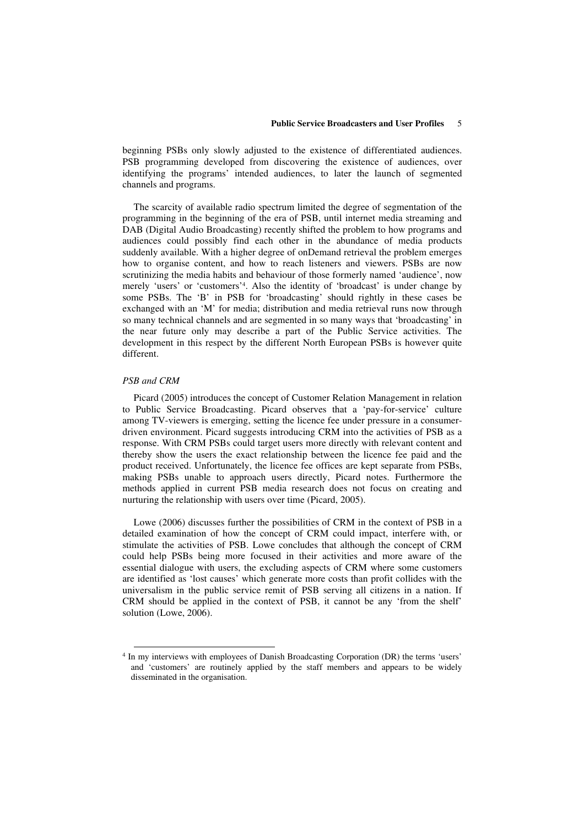beginning PSBs only slowly adjusted to the existence of differentiated audiences. PSB programming developed from discovering the existence of audiences, over identifying the programs' intended audiences, to later the launch of segmented channels and programs.

The scarcity of available radio spectrum limited the degree of segmentation of the programming in the beginning of the era of PSB, until internet media streaming and DAB (Digital Audio Broadcasting) recently shifted the problem to how programs and audiences could possibly find each other in the abundance of media products suddenly available. With a higher degree of onDemand retrieval the problem emerges how to organise content, and how to reach listeners and viewers. PSBs are now scrutinizing the media habits and behaviour of those formerly named 'audience', now merely 'users' or 'customers' 4 . Also the identity of 'broadcast' is under change by some PSBs. The 'B' in PSB for 'broadcasting' should rightly in these cases be exchanged with an 'M' for media; distribution and media retrieval runs now through so many technical channels and are segmented in so many ways that 'broadcasting' in the near future only may describe a part of the Public Service activities. The development in this respect by the different North European PSBs is however quite different.

## *PSB and CRM*

Picard (2005) introduces the concept of Customer Relation Management in relation to Public Service Broadcasting. Picard observes that a 'pay-for-service' culture among TV-viewers is emerging, setting the licence fee under pressure in a consumerdriven environment. Picard suggests introducing CRM into the activities of PSB as a response. With CRM PSBs could target users more directly with relevant content and thereby show the users the exact relationship between the licence fee paid and the product received. Unfortunately, the licence fee offices are kept separate from PSBs, making PSBs unable to approach users directly, Picard notes. Furthermore the methods applied in current PSB media research does not focus on creating and nurturing the relationship with users over time (Picard, 2005).

Lowe (2006) discusses further the possibilities of CRM in the context of PSB in a detailed examination of how the concept of CRM could impact, interfere with, or stimulate the activities of PSB. Lowe concludes that although the concept of CRM could help PSBs being more focused in their activities and more aware of the essential dialogue with users, the excluding aspects of CRM where some customers are identified as 'lost causes' which generate more costs than profit collides with the universalism in the public service remit of PSB serving all citizens in a nation. If CRM should be applied in the context of PSB, it cannot be any 'from the shelf' solution (Lowe, 2006).

<sup>&</sup>lt;sup>4</sup> In my interviews with employees of Danish Broadcasting Corporation (DR) the terms 'users' and 'customers' are routinely applied by the staff members and appears to be widely disseminated in the organisation.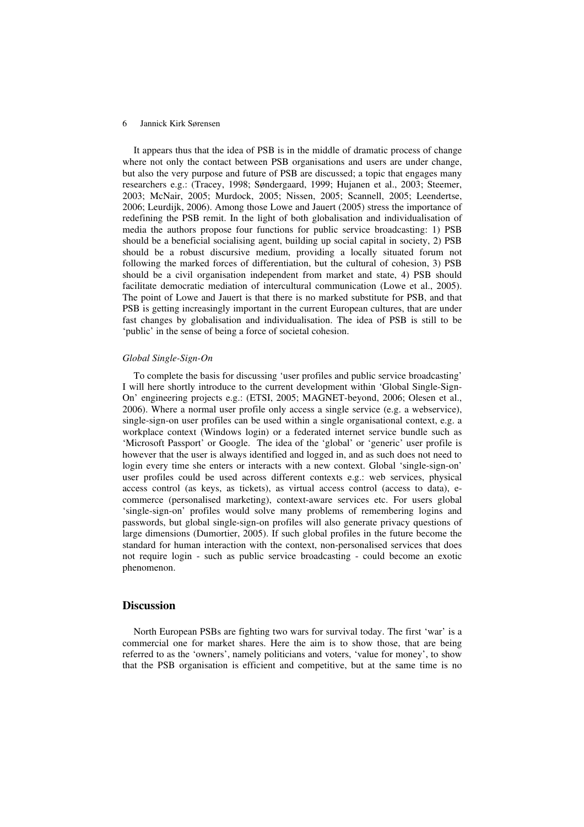It appears thus that the idea of PSB is in the middle of dramatic process of change where not only the contact between PSB organisations and users are under change, but also the very purpose and future of PSB are discussed; a topic that engages many researchers e.g.: (Tracey, 1998; Søndergaard, 1999; Hujanen et al., 2003; Steemer, 2003; McNair, 2005; Murdock, 2005; Nissen, 2005; Scannell, 2005; Leendertse, 2006; Leurdijk, 2006). Among those Lowe and Jauert (2005) stress the importance of redefining the PSB remit. In the light of both globalisation and individualisation of media the authors propose four functions for public service broadcasting: 1) PSB should be a beneficial socialising agent, building up social capital in society, 2) PSB should be a robust discursive medium, providing a locally situated forum not following the marked forces of differentiation, but the cultural of cohesion, 3) PSB should be a civil organisation independent from market and state, 4) PSB should facilitate democratic mediation of intercultural communication (Lowe et al., 2005). The point of Lowe and Jauert is that there is no marked substitute for PSB, and that PSB is getting increasingly important in the current European cultures, that are under fast changes by globalisation and individualisation. The idea of PSB is still to be 'public' in the sense of being a force of societal cohesion.

#### *Global Single-Sign-On*

To complete the basis for discussing 'user profiles and public service broadcasting' I will here shortly introduce to the current development within 'Global Single-Sign-On' engineering projects e.g.: (ETSI, 2005; MAGNET-beyond, 2006; Olesen et al., 2006). Where a normal user profile only access a single service (e.g. a webservice), single-sign-on user profiles can be used within a single organisational context, e.g. a workplace context (Windows login) or a federated internet service bundle such as 'Microsoft Passport' or Google. The idea of the 'global' or 'generic' user profile is however that the user is always identified and logged in, and as such does not need to login every time she enters or interacts with a new context. Global 'single-sign-on' user profiles could be used across different contexts e.g.: web services, physical access control (as keys, as tickets), as virtual access control (access to data), ecommerce (personalised marketing), context-aware services etc. For users global 'single-sign-on' profiles would solve many problems of remembering logins and passwords, but global single-sign-on profiles will also generate privacy questions of large dimensions (Dumortier, 2005). If such global profiles in the future become the standard for human interaction with the context, non-personalised services that does not require login - such as public service broadcasting - could become an exotic phenomenon.

# **Discussion**

North European PSBs are fighting two wars for survival today. The first 'war' is a commercial one for market shares. Here the aim is to show those, that are being referred to as the 'owners', namely politicians and voters, 'value for money', to show that the PSB organisation is efficient and competitive, but at the same time is no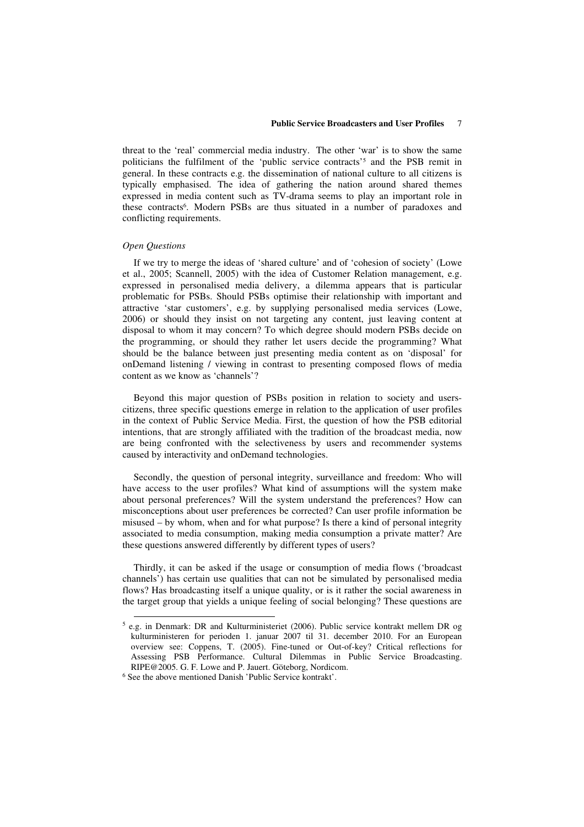threat to the 'real' commercial media industry. The other 'war' is to show the same politicians the fulfilment of the 'public service contracts' <sup>5</sup> and the PSB remit in general. In these contracts e.g. the dissemination of national culture to all citizens is typically emphasised. The idea of gathering the nation around shared themes expressed in media content such as TV-drama seems to play an important role in these contracts 6 . Modern PSBs are thus situated in a number of paradoxes and conflicting requirements.

#### *Open Questions*

If we try to merge the ideas of 'shared culture' and of 'cohesion of society' (Lowe et al., 2005; Scannell, 2005) with the idea of Customer Relation management, e.g. expressed in personalised media delivery, a dilemma appears that is particular problematic for PSBs. Should PSBs optimise their relationship with important and attractive 'star customers', e.g. by supplying personalised media services (Lowe, 2006) or should they insist on not targeting any content, just leaving content at disposal to whom it may concern? To which degree should modern PSBs decide on the programming, or should they rather let users decide the programming? What should be the balance between just presenting media content as on 'disposal' for onDemand listening / viewing in contrast to presenting composed flows of media content as we know as 'channels'?

Beyond this major question of PSBs position in relation to society and userscitizens, three specific questions emerge in relation to the application of user profiles in the context of Public Service Media. First, the question of how the PSB editorial intentions, that are strongly affiliated with the tradition of the broadcast media, now are being confronted with the selectiveness by users and recommender systems caused by interactivity and onDemand technologies.

Secondly, the question of personal integrity, surveillance and freedom: Who will have access to the user profiles? What kind of assumptions will the system make about personal preferences? Will the system understand the preferences? How can misconceptions about user preferences be corrected? Can user profile information be misused – by whom, when and for what purpose? Is there a kind of personal integrity associated to media consumption, making media consumption a private matter? Are these questions answered differently by different types of users?

Thirdly, it can be asked if the usage or consumption of media flows ('broadcast channels') has certain use qualities that can not be simulated by personalised media flows? Has broadcasting itself a unique quality, or is it rather the social awareness in the target group that yields a unique feeling of social belonging? These questions are

<sup>&</sup>lt;sup>5</sup> e.g. in Denmark: DR and Kulturministeriet (2006). Public service kontrakt mellem DR og kulturministeren for perioden 1. januar 2007 til 31. december 2010. For an European overview see: Coppens, T. (2005). Fine-tuned or Out-of-key? Critical reflections for Assessing PSB Performance. Cultural Dilemmas in Public Service Broadcasting. RIPE@2005. G. F. Lowe and P. Jauert. Göteborg, Nordicom.

<sup>6</sup> See the above mentioned Danish 'Public Service kontrakt'.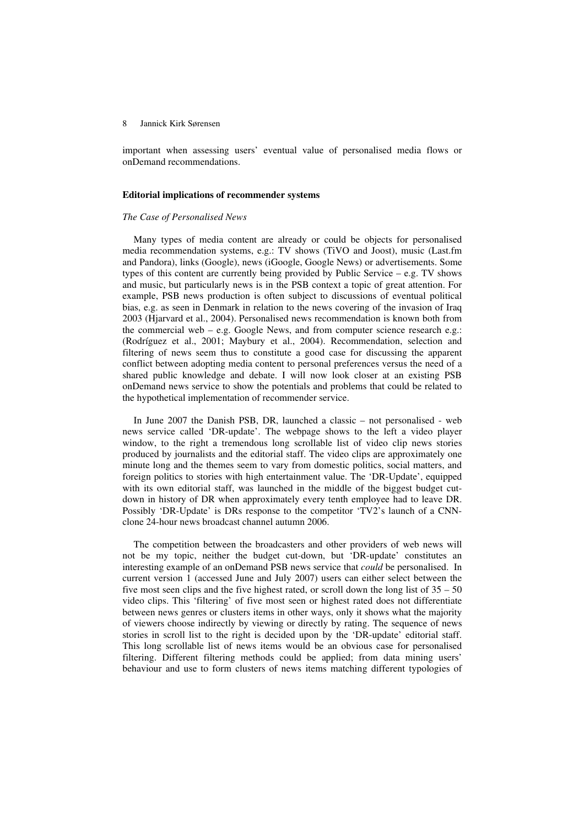important when assessing users' eventual value of personalised media flows or onDemand recommendations.

#### **Editorial implications of recommender systems**

#### *The Case of Personalised News*

Many types of media content are already or could be objects for personalised media recommendation systems, e.g.: TV shows (TiVO and Joost), music (Last.fm and Pandora), links (Google), news (iGoogle, Google News) or advertisements. Some types of this content are currently being provided by Public Service – e.g. TV shows and music, but particularly news is in the PSB context a topic of great attention. For example, PSB news production is often subject to discussions of eventual political bias, e.g. as seen in Denmark in relation to the news covering of the invasion of Iraq 2003 (Hjarvard et al., 2004). Personalised news recommendation is known both from the commercial web – e.g. Google News, and from computer science research e.g.: (Rodríguez et al., 2001; Maybury et al., 2004). Recommendation, selection and filtering of news seem thus to constitute a good case for discussing the apparent conflict between adopting media content to personal preferences versus the need of a shared public knowledge and debate. I will now look closer at an existing PSB onDemand news service to show the potentials and problems that could be related to the hypothetical implementation of recommender service.

In June 2007 the Danish PSB, DR, launched a classic – not personalised - web news service called 'DR-update'. The webpage shows to the left a video player window, to the right a tremendous long scrollable list of video clip news stories produced by journalists and the editorial staff. The video clips are approximately one minute long and the themes seem to vary from domestic politics, social matters, and foreign politics to stories with high entertainment value. The 'DR-Update', equipped with its own editorial staff, was launched in the middle of the biggest budget cutdown in history of DR when approximately every tenth employee had to leave DR. Possibly 'DR-Update' is DRs response to the competitor 'TV2's launch of a CNNclone 24-hour news broadcast channel autumn 2006.

The competition between the broadcasters and other providers of web news will not be my topic, neither the budget cut-down, but 'DR-update' constitutes an interesting example of an onDemand PSB news service that *could* be personalised. In current version 1 (accessed June and July 2007) users can either select between the five most seen clips and the five highest rated, or scroll down the long list of  $35 - 50$ video clips. This 'filtering' of five most seen or highest rated does not differentiate between news genres or clusters items in other ways, only it shows what the majority of viewers choose indirectly by viewing or directly by rating. The sequence of news stories in scroll list to the right is decided upon by the 'DR-update' editorial staff. This long scrollable list of news items would be an obvious case for personalised filtering. Different filtering methods could be applied; from data mining users' behaviour and use to form clusters of news items matching different typologies of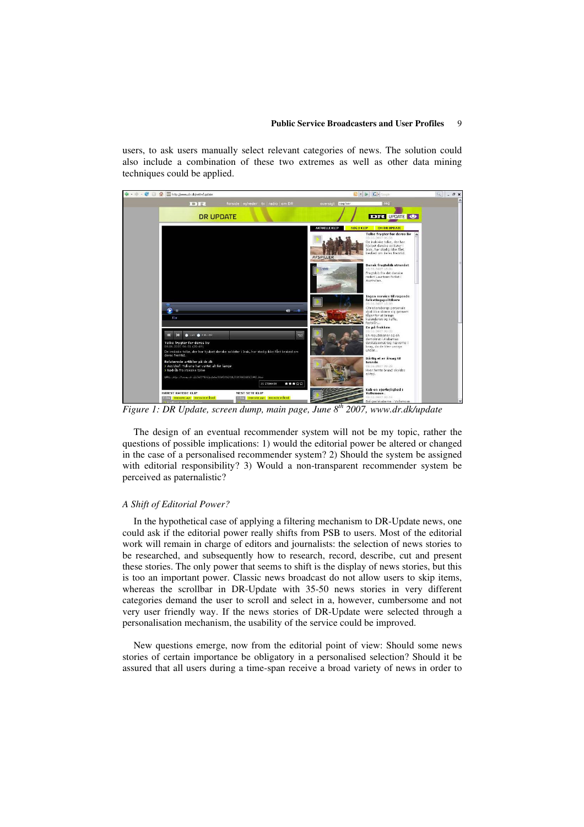users, to ask users manually select relevant categories of news. The solution could also include a combination of these two extremes as well as other data mining techniques could be applied.



*Figure 1: DR Update, screen dump, main page, June 8 th 2007, www.dr.dk/update*

The design of an eventual recommender system will not be my topic, rather the questions of possible implications: 1) would the editorial power be altered or changed in the case of a personalised recommender system? 2) Should the system be assigned with editorial responsibility? 3) Would a non-transparent recommender system be perceived as paternalistic?

#### *A Shift of Editorial Power?*

In the hypothetical case of applying a filtering mechanism to DR-Update news, one could ask if the editorial power really shifts from PSB to users. Most of the editorial work will remain in charge of editors and journalists: the selection of news stories to be researched, and subsequently how to research, record, describe, cut and present these stories. The only power that seems to shift is the display of news stories, but this is too an important power. Classic news broadcast do not allow users to skip items, whereas the scrollbar in DR-Update with 35-50 news stories in very different categories demand the user to scroll and select in a, however, cumbersome and not very user friendly way. If the news stories of DR-Update were selected through a personalisation mechanism, the usability of the service could be improved.

New questions emerge, now from the editorial point of view: Should some news stories of certain importance be obligatory in a personalised selection? Should it be assured that all users during a time-span receive a broad variety of news in order to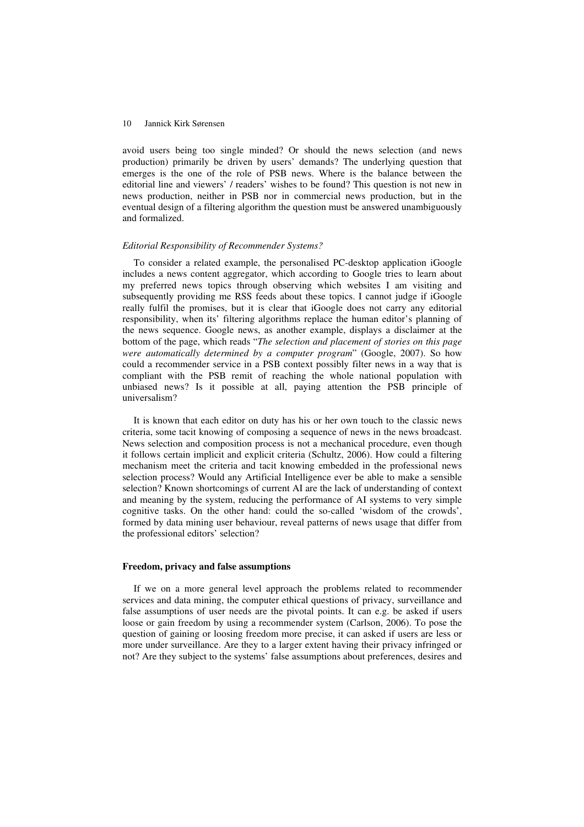avoid users being too single minded? Or should the news selection (and news production) primarily be driven by users' demands? The underlying question that emerges is the one of the role of PSB news. Where is the balance between the editorial line and viewers' / readers' wishes to be found? This question is not new in news production, neither in PSB nor in commercial news production, but in the eventual design of a filtering algorithm the question must be answered unambiguously and formalized.

#### *Editorial Responsibility of Recommender Systems?*

To consider a related example, the personalised PC-desktop application iGoogle includes a news content aggregator, which according to Google tries to learn about my preferred news topics through observing which websites I am visiting and subsequently providing me RSS feeds about these topics. I cannot judge if iGoogle really fulfil the promises, but it is clear that iGoogle does not carry any editorial responsibility, when its' filtering algorithms replace the human editor's planning of the news sequence. Google news, as another example, displays a disclaimer at the bottom of the page, which reads "*The selection and placement of stories on this page were automatically determined by a computer program*" (Google, 2007). So how could a recommender service in a PSB context possibly filter news in a way that is compliant with the PSB remit of reaching the whole national population with unbiased news? Is it possible at all, paying attention the PSB principle of universalism?

It is known that each editor on duty has his or her own touch to the classic news criteria, some tacit knowing of composing a sequence of news in the news broadcast. News selection and composition process is not a mechanical procedure, even though it follows certain implicit and explicit criteria (Schultz, 2006). How could a filtering mechanism meet the criteria and tacit knowing embedded in the professional news selection process? Would any Artificial Intelligence ever be able to make a sensible selection? Known shortcomings of current AI are the lack of understanding of context and meaning by the system, reducing the performance of AI systems to very simple cognitive tasks. On the other hand: could the so-called 'wisdom of the crowds', formed by data mining user behaviour, reveal patterns of news usage that differ from the professional editors' selection?

#### **Freedom, privacy and false assumptions**

If we on a more general level approach the problems related to recommender services and data mining, the computer ethical questions of privacy, surveillance and false assumptions of user needs are the pivotal points. It can e.g. be asked if users loose or gain freedom by using a recommender system (Carlson, 2006). To pose the question of gaining or loosing freedom more precise, it can asked if users are less or more under surveillance. Are they to a larger extent having their privacy infringed or not? Are they subject to the systems' false assumptions about preferences, desires and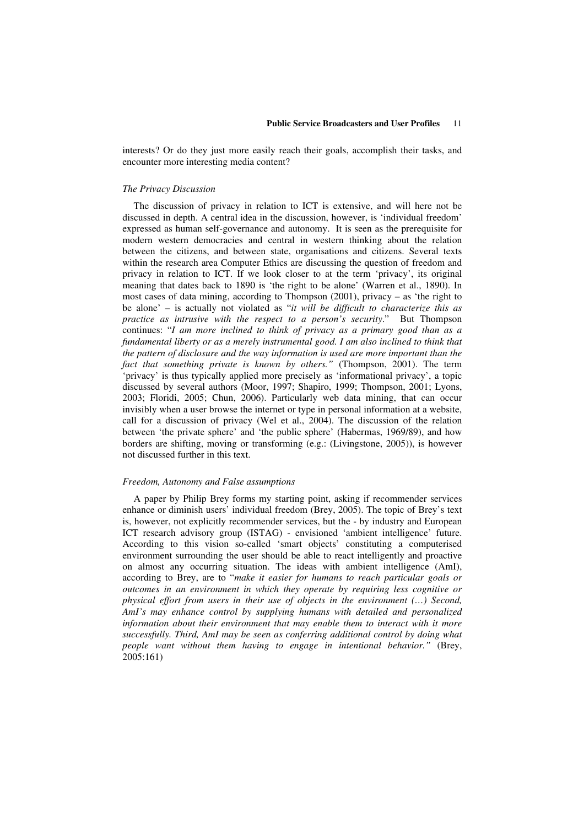interests? Or do they just more easily reach their goals, accomplish their tasks, and encounter more interesting media content?

#### *The Privacy Discussion*

The discussion of privacy in relation to ICT is extensive, and will here not be discussed in depth. A central idea in the discussion, however, is 'individual freedom' expressed as human self-governance and autonomy. It is seen as the prerequisite for modern western democracies and central in western thinking about the relation between the citizens, and between state, organisations and citizens. Several texts within the research area Computer Ethics are discussing the question of freedom and privacy in relation to ICT. If we look closer to at the term 'privacy', its original meaning that dates back to 1890 is 'the right to be alone' (Warren et al., 1890). In most cases of data mining, according to Thompson (2001), privacy – as 'the right to be alone' – is actually not violated as "*it will be difficult to characterize this as practice as intrusive with the respect to a person's security*." But Thompson continues: "*I am more inclined to think of privacy as a primary good than as a fundamental liberty or as a merely instrumental good. I am also inclined to think that the pattern of disclosure and the way information is used are more important than the fact that something private is known by others."* (Thompson, 2001). The term 'privacy' is thus typically applied more precisely as 'informational privacy', a topic discussed by several authors (Moor, 1997; Shapiro, 1999; Thompson, 2001; Lyons, 2003; Floridi, 2005; Chun, 2006). Particularly web data mining, that can occur invisibly when a user browse the internet or type in personal information at a website, call for a discussion of privacy (Wel et al., 2004). The discussion of the relation between 'the private sphere' and 'the public sphere' (Habermas, 1969/89), and how borders are shifting, moving or transforming (e.g.: (Livingstone, 2005)), is however not discussed further in this text.

#### *Freedom, Autonomy and False assumptions*

A paper by Philip Brey forms my starting point, asking if recommender services enhance or diminish users' individual freedom (Brey, 2005). The topic of Brey's text is, however, not explicitly recommender services, but the - by industry and European ICT research advisory group (ISTAG) - envisioned 'ambient intelligence' future. According to this vision so-called 'smart objects' constituting a computerised environment surrounding the user should be able to react intelligently and proactive on almost any occurring situation. The ideas with ambient intelligence (AmI), according to Brey, are to "*make it easier for humans to reach particular goals or outcomes in an environment in which they operate by requiring less cognitive or physical effort from users in their use of objects in the environment (…) Second, AmI's may enhance control by supplying humans with detailed and personalized information about their environment that may enable them to interact with it more successfully. Third, AmI may be seen as conferring additional control by doing what people want without them having to engage in intentional behavior."* (Brey, 2005:161)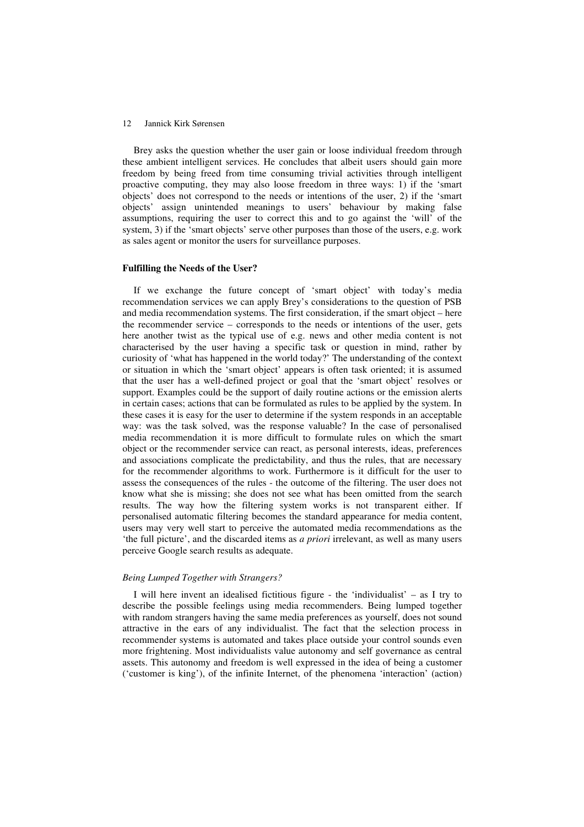Brey asks the question whether the user gain or loose individual freedom through these ambient intelligent services. He concludes that albeit users should gain more freedom by being freed from time consuming trivial activities through intelligent proactive computing, they may also loose freedom in three ways: 1) if the 'smart objects' does not correspond to the needs or intentions of the user, 2) if the 'smart objects' assign unintended meanings to users' behaviour by making false assumptions, requiring the user to correct this and to go against the 'will' of the system, 3) if the 'smart objects' serve other purposes than those of the users, e.g. work as sales agent or monitor the users for surveillance purposes.

## **Fulfilling the Needs of the User?**

If we exchange the future concept of 'smart object' with today's media recommendation services we can apply Brey's considerations to the question of PSB and media recommendation systems. The first consideration, if the smart object – here the recommender service – corresponds to the needs or intentions of the user, gets here another twist as the typical use of e.g. news and other media content is not characterised by the user having a specific task or question in mind, rather by curiosity of 'what has happened in the world today?' The understanding of the context or situation in which the 'smart object' appears is often task oriented; it is assumed that the user has a well-defined project or goal that the 'smart object' resolves or support. Examples could be the support of daily routine actions or the emission alerts in certain cases; actions that can be formulated as rules to be applied by the system. In these cases it is easy for the user to determine if the system responds in an acceptable way: was the task solved, was the response valuable? In the case of personalised media recommendation it is more difficult to formulate rules on which the smart object or the recommender service can react, as personal interests, ideas, preferences and associations complicate the predictability, and thus the rules, that are necessary for the recommender algorithms to work. Furthermore is it difficult for the user to assess the consequences of the rules - the outcome of the filtering. The user does not know what she is missing; she does not see what has been omitted from the search results. The way how the filtering system works is not transparent either. If personalised automatic filtering becomes the standard appearance for media content, users may very well start to perceive the automated media recommendations as the 'the full picture', and the discarded items as *a priori* irrelevant, as well as many users perceive Google search results as adequate.

#### *Being Lumped Together with Strangers?*

I will here invent an idealised fictitious figure - the 'individualist' – as I try to describe the possible feelings using media recommenders. Being lumped together with random strangers having the same media preferences as yourself, does not sound attractive in the ears of any individualist. The fact that the selection process in recommender systems is automated and takes place outside your control sounds even more frightening. Most individualists value autonomy and self governance as central assets. This autonomy and freedom is well expressed in the idea of being a customer ('customer is king'), of the infinite Internet, of the phenomena 'interaction' (action)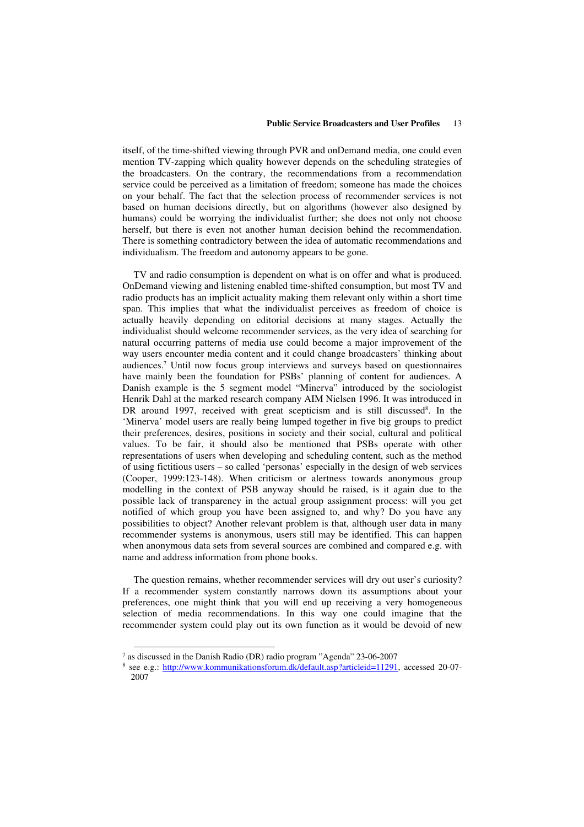itself, of the time-shifted viewing through PVR and onDemand media, one could even mention TV-zapping which quality however depends on the scheduling strategies of the broadcasters. On the contrary, the recommendations from a recommendation service could be perceived as a limitation of freedom; someone has made the choices on your behalf. The fact that the selection process of recommender services is not based on human decisions directly, but on algorithms (however also designed by humans) could be worrying the individualist further; she does not only not choose herself, but there is even not another human decision behind the recommendation. There is something contradictory between the idea of automatic recommendations and individualism. The freedom and autonomy appears to be gone.

TV and radio consumption is dependent on what is on offer and what is produced. OnDemand viewing and listening enabled time-shifted consumption, but most TV and radio products has an implicit actuality making them relevant only within a short time span. This implies that what the individualist perceives as freedom of choice is actually heavily depending on editorial decisions at many stages. Actually the individualist should welcome recommender services, as the very idea of searching for natural occurring patterns of media use could become a major improvement of the way users encounter media content and it could change broadcasters' thinking about audiences. <sup>7</sup> Until now focus group interviews and surveys based on questionnaires have mainly been the foundation for PSBs' planning of content for audiences. A Danish example is the 5 segment model "Minerva" introduced by the sociologist Henrik Dahl at the marked research company AIM Nielsen 1996. It was introduced in DR around 1997, received with great scepticism and is still discussed<sup>8</sup>. In the 'Minerva' model users are really being lumped together in five big groups to predict their preferences, desires, positions in society and their social, cultural and political values. To be fair, it should also be mentioned that PSBs operate with other representations of users when developing and scheduling content, such as the method of using fictitious users – so called 'personas' especially in the design of web services (Cooper, 1999:123-148). When criticism or alertness towards anonymous group modelling in the context of PSB anyway should be raised, is it again due to the possible lack of transparency in the actual group assignment process: will you get notified of which group you have been assigned to, and why? Do you have any possibilities to object? Another relevant problem is that, although user data in many recommender systems is anonymous, users still may be identified. This can happen when anonymous data sets from several sources are combined and compared e.g. with name and address information from phone books.

The question remains, whether recommender services will dry out user's curiosity? If a recommender system constantly narrows down its assumptions about your preferences, one might think that you will end up receiving a very homogeneous selection of media recommendations. In this way one could imagine that the recommender system could play out its own function as it would be devoid of new

<sup>7</sup> as discussed in the Danish Radio (DR) radio program "Agenda" 23-06-2007

<sup>8</sup> see e.g.: http://www.kommunikationsforum.dk/default.asp?articleid=11291, accessed 20-07- 2007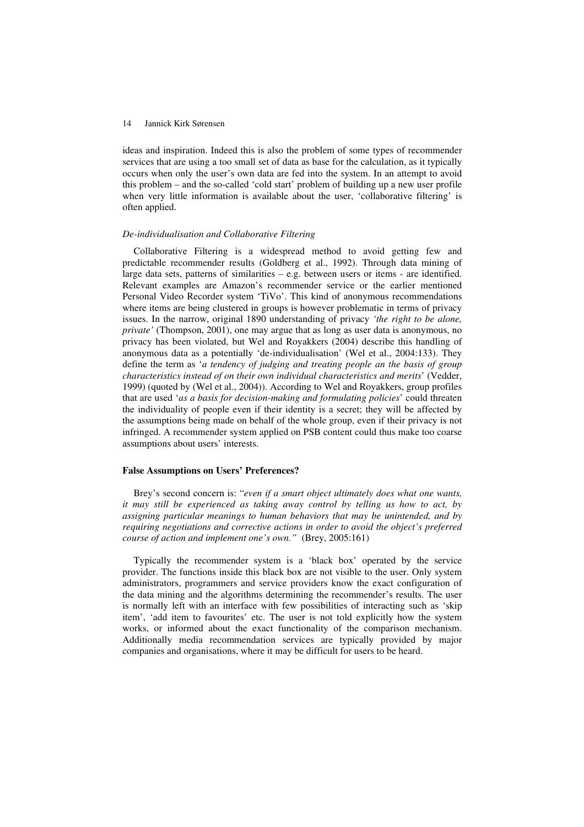ideas and inspiration. Indeed this is also the problem of some types of recommender services that are using a too small set of data as base for the calculation, as it typically occurs when only the user's own data are fed into the system. In an attempt to avoid this problem – and the so-called 'cold start' problem of building up a new user profile when very little information is available about the user, 'collaborative filtering' is often applied.

#### *De-individualisation and Collaborative Filtering*

Collaborative Filtering is a widespread method to avoid getting few and predictable recommender results (Goldberg et al., 1992). Through data mining of large data sets, patterns of similarities – e.g. between users or items - are identified. Relevant examples are Amazon's recommender service or the earlier mentioned Personal Video Recorder system 'TiVo'. This kind of anonymous recommendations where items are being clustered in groups is however problematic in terms of privacy issues. In the narrow, original 1890 understanding of privacy *'the right to be alone, private'* (Thompson, 2001), one may argue that as long as user data is anonymous, no privacy has been violated, but Wel and Royakkers (2004) describe this handling of anonymous data as a potentially 'de-individualisation' (Wel et al., 2004:133). They define the term as '*a tendency of judging and treating people an the basis of group characteristics instead of on their own individual characteristics and merits*' (Vedder, 1999) (quoted by (Wel et al., 2004)). According to Wel and Royakkers, group profiles that are used '*as a basis for decision-making and formulating policies*' could threaten the individuality of people even if their identity is a secret; they will be affected by the assumptions being made on behalf of the whole group, even if their privacy is not infringed. A recommender system applied on PSB content could thus make too coarse assumptions about users' interests.

#### **False Assumptions on Users' Preferences?**

Brey's second concern is: "*even if a smart object ultimately does what one wants, it may still be experienced as taking away control by telling us how to act, by assigning particular meanings to human behaviors that may be unintended, and by requiring negotiations and corrective actions in order to avoid the object's preferred course of action and implement one's own."* (Brey, 2005:161)

Typically the recommender system is a 'black box' operated by the service provider. The functions inside this black box are not visible to the user. Only system administrators, programmers and service providers know the exact configuration of the data mining and the algorithms determining the recommender's results. The user is normally left with an interface with few possibilities of interacting such as 'skip item', 'add item to favourites' etc. The user is not told explicitly how the system works, or informed about the exact functionality of the comparison mechanism. Additionally media recommendation services are typically provided by major companies and organisations, where it may be difficult for users to be heard.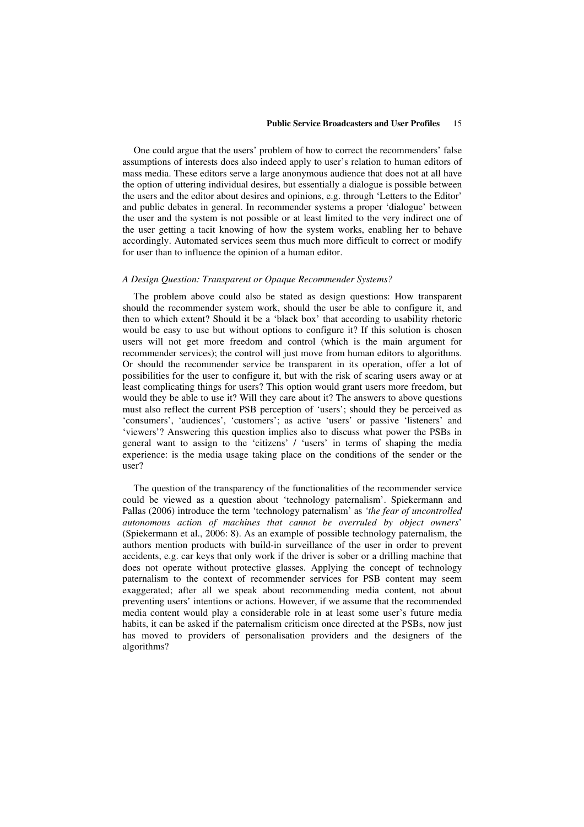One could argue that the users' problem of how to correct the recommenders' false assumptions of interests does also indeed apply to user's relation to human editors of mass media. These editors serve a large anonymous audience that does not at all have the option of uttering individual desires, but essentially a dialogue is possible between the users and the editor about desires and opinions, e.g. through 'Letters to the Editor' and public debates in general. In recommender systems a proper 'dialogue' between the user and the system is not possible or at least limited to the very indirect one of the user getting a tacit knowing of how the system works, enabling her to behave accordingly. Automated services seem thus much more difficult to correct or modify for user than to influence the opinion of a human editor.

#### *A Design Question: Transparent or Opaque Recommender Systems?*

The problem above could also be stated as design questions: How transparent should the recommender system work, should the user be able to configure it, and then to which extent? Should it be a 'black box' that according to usability rhetoric would be easy to use but without options to configure it? If this solution is chosen users will not get more freedom and control (which is the main argument for recommender services); the control will just move from human editors to algorithms. Or should the recommender service be transparent in its operation, offer a lot of possibilities for the user to configure it, but with the risk of scaring users away or at least complicating things for users? This option would grant users more freedom, but would they be able to use it? Will they care about it? The answers to above questions must also reflect the current PSB perception of 'users'; should they be perceived as 'consumers', 'audiences', 'customers'; as active 'users' or passive 'listeners' and 'viewers'? Answering this question implies also to discuss what power the PSBs in general want to assign to the 'citizens' / 'users' in terms of shaping the media experience: is the media usage taking place on the conditions of the sender or the user?

The question of the transparency of the functionalities of the recommender service could be viewed as a question about 'technology paternalism'. Spiekermann and Pallas (2006) introduce the term 'technology paternalism' as *'the fear of uncontrolled autonomous action of machines that cannot be overruled by object owners*' (Spiekermann et al., 2006: 8). As an example of possible technology paternalism, the authors mention products with build-in surveillance of the user in order to prevent accidents, e.g. car keys that only work if the driver is sober or a drilling machine that does not operate without protective glasses. Applying the concept of technology paternalism to the context of recommender services for PSB content may seem exaggerated; after all we speak about recommending media content, not about preventing users' intentions or actions. However, if we assume that the recommended media content would play a considerable role in at least some user's future media habits, it can be asked if the paternalism criticism once directed at the PSBs, now just has moved to providers of personalisation providers and the designers of the algorithms?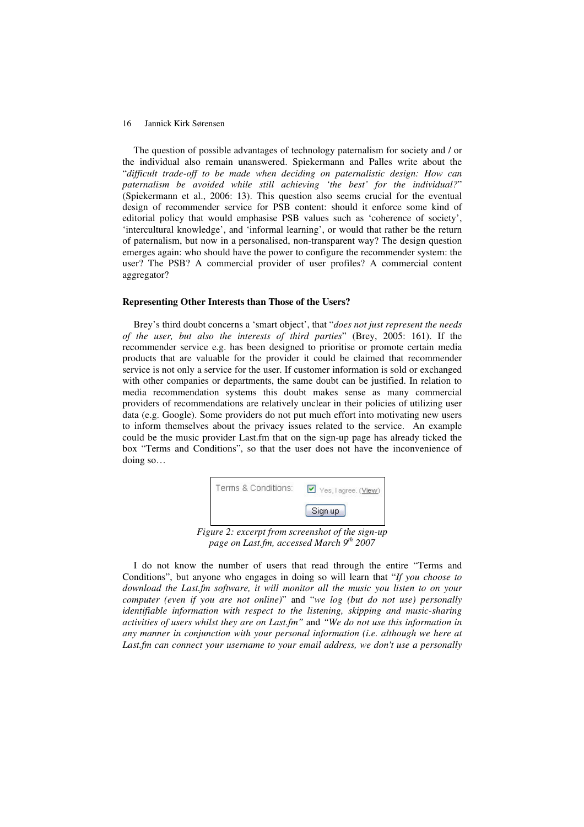The question of possible advantages of technology paternalism for society and / or the individual also remain unanswered. Spiekermann and Palles write about the "*difficult trade-off to be made when deciding on paternalistic design: How can paternalism be avoided while still achieving 'the best' for the individual?*" (Spiekermann et al., 2006: 13). This question also seems crucial for the eventual design of recommender service for PSB content: should it enforce some kind of editorial policy that would emphasise PSB values such as 'coherence of society', 'intercultural knowledge', and 'informal learning', or would that rather be the return of paternalism, but now in a personalised, non-transparent way? The design question emerges again: who should have the power to configure the recommender system: the user? The PSB? A commercial provider of user profiles? A commercial content aggregator?

#### **Representing Other Interests than Those of the Users?**

Brey's third doubt concerns a 'smart object', that "*does not just represent the needs of the user, but also the interests of third parties*" (Brey, 2005: 161). If the recommender service e.g. has been designed to prioritise or promote certain media products that are valuable for the provider it could be claimed that recommender service is not only a service for the user. If customer information is sold or exchanged with other companies or departments, the same doubt can be justified. In relation to media recommendation systems this doubt makes sense as many commercial providers of recommendations are relatively unclear in their policies of utilizing user data (e.g. Google). Some providers do not put much effort into motivating new users to inform themselves about the privacy issues related to the service. An example could be the music provider Last.fm that on the sign-up page has already ticked the box "Terms and Conditions", so that the user does not have the inconvenience of doing so…



I do not know the number of users that read through the entire "Terms and Conditions", but anyone who engages in doing so will learn that "*If you choose to download the Last.fm software, it will monitor all the music you listen to on your computer (even if you are not online)*" and "*we log (but do not use) personally identifiable information with respect to the listening, skipping and music-sharing activities of users whilst they are on Last.fm"* and *"We do not use this information in any manner in conjunction with your personal information (i.e. although we here at Last.fm can connect your username to your email address, we don't use a personally*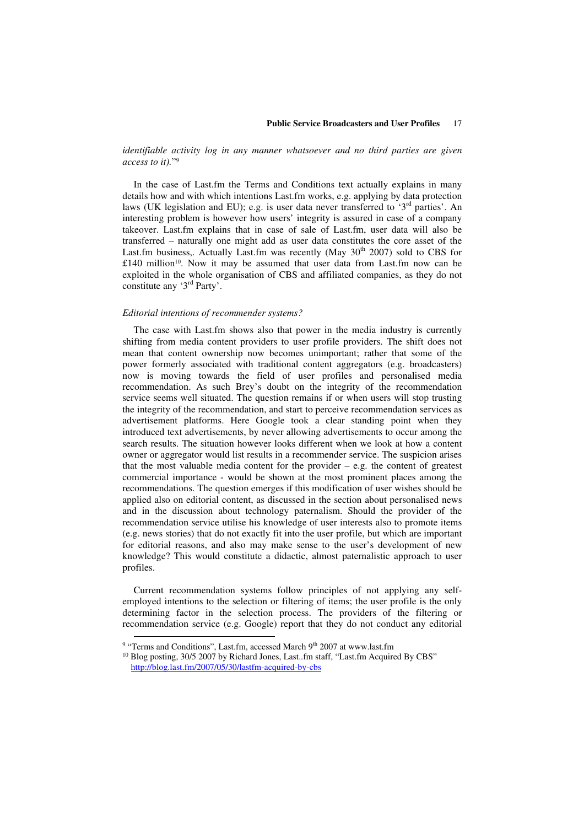*identifiable activity log in any manner whatsoever and no third parties are given access to it).*" 9

In the case of Last.fm the Terms and Conditions text actually explains in many details how and with which intentions Last.fm works, e.g. applying by data protection laws (UK legislation and EU); e.g. is user data never transferred to '3<sup>rd</sup> parties'. An interesting problem is however how users' integrity is assured in case of a company takeover. Last.fm explains that in case of sale of Last.fm, user data will also be transferred – naturally one might add as user data constitutes the core asset of the Last.fm business,. Actually Last.fm was recently (May  $30<sup>th</sup>$  2007) sold to CBS for £140 million 10 . Now it may be assumed that user data from Last.fm now can be exploited in the whole organisation of CBS and affiliated companies, as they do not constitute any '3<sup>rd</sup> Party'.

#### *Editorial intentions of recommender systems?*

The case with Last.fm shows also that power in the media industry is currently shifting from media content providers to user profile providers. The shift does not mean that content ownership now becomes unimportant; rather that some of the power formerly associated with traditional content aggregators (e.g. broadcasters) now is moving towards the field of user profiles and personalised media recommendation. As such Brey's doubt on the integrity of the recommendation service seems well situated. The question remains if or when users will stop trusting the integrity of the recommendation, and start to perceive recommendation services as advertisement platforms. Here Google took a clear standing point when they introduced text advertisements, by never allowing advertisements to occur among the search results. The situation however looks different when we look at how a content owner or aggregator would list results in a recommender service. The suspicion arises that the most valuable media content for the provider  $-$  e.g. the content of greatest commercial importance - would be shown at the most prominent places among the recommendations. The question emerges if this modification of user wishes should be applied also on editorial content, as discussed in the section about personalised news and in the discussion about technology paternalism. Should the provider of the recommendation service utilise his knowledge of user interests also to promote items (e.g. news stories) that do not exactly fit into the user profile, but which are important for editorial reasons, and also may make sense to the user's development of new knowledge? This would constitute a didactic, almost paternalistic approach to user profiles.

Current recommendation systems follow principles of not applying any selfemployed intentions to the selection or filtering of items; the user profile is the only determining factor in the selection process. The providers of the filtering or recommendation service (e.g. Google) report that they do not conduct any editorial

<sup>&</sup>lt;sup>9</sup> "Terms and Conditions", Last.fm, accessed March 9<sup>th</sup> 2007 at www.last.fm

<sup>&</sup>lt;sup>10</sup> Blog posting, 30/5 2007 by Richard Jones, Last..fm staff, "Last.fm Acquired By CBS" http://blog.last.fm/2007/05/30/lastfm-acquired-by-cbs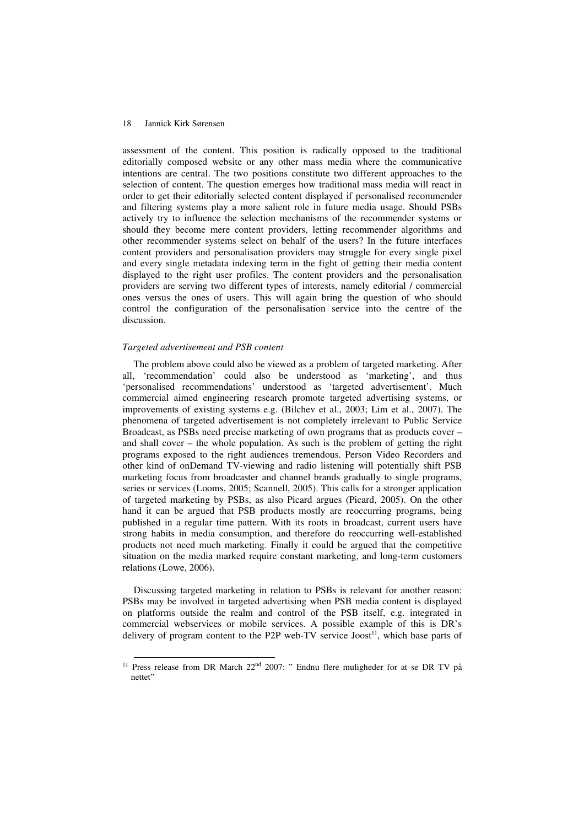assessment of the content. This position is radically opposed to the traditional editorially composed website or any other mass media where the communicative intentions are central. The two positions constitute two different approaches to the selection of content. The question emerges how traditional mass media will react in order to get their editorially selected content displayed if personalised recommender and filtering systems play a more salient role in future media usage. Should PSBs actively try to influence the selection mechanisms of the recommender systems or should they become mere content providers, letting recommender algorithms and other recommender systems select on behalf of the users? In the future interfaces content providers and personalisation providers may struggle for every single pixel and every single metadata indexing term in the fight of getting their media content displayed to the right user profiles. The content providers and the personalisation providers are serving two different types of interests, namely editorial / commercial ones versus the ones of users. This will again bring the question of who should control the configuration of the personalisation service into the centre of the discussion.

### *Targeted advertisement and PSB content*

The problem above could also be viewed as a problem of targeted marketing. After all, 'recommendation' could also be understood as 'marketing', and thus 'personalised recommendations' understood as 'targeted advertisement'. Much commercial aimed engineering research promote targeted advertising systems, or improvements of existing systems e.g. (Bilchev et al., 2003; Lim et al., 2007). The phenomena of targeted advertisement is not completely irrelevant to Public Service Broadcast, as PSBs need precise marketing of own programs that as products cover – and shall cover – the whole population. As such is the problem of getting the right programs exposed to the right audiences tremendous. Person Video Recorders and other kind of onDemand TV-viewing and radio listening will potentially shift PSB marketing focus from broadcaster and channel brands gradually to single programs, series or services (Looms, 2005; Scannell, 2005). This calls for a stronger application of targeted marketing by PSBs, as also Picard argues (Picard, 2005). On the other hand it can be argued that PSB products mostly are reoccurring programs, being published in a regular time pattern. With its roots in broadcast, current users have strong habits in media consumption, and therefore do reoccurring well-established products not need much marketing. Finally it could be argued that the competitive situation on the media marked require constant marketing, and long-term customers relations (Lowe, 2006).

Discussing targeted marketing in relation to PSBs is relevant for another reason: PSBs may be involved in targeted advertising when PSB media content is displayed on platforms outside the realm and control of the PSB itself, e.g. integrated in commercial webservices or mobile services. A possible example of this is DR's delivery of program content to the P2P web-TV service Joost<sup>11</sup>, which base parts of

<sup>&</sup>lt;sup>11</sup> Press release from DR March  $22<sup>nd</sup>$  2007: " Endnu flere muligheder for at se DR TV på nettet"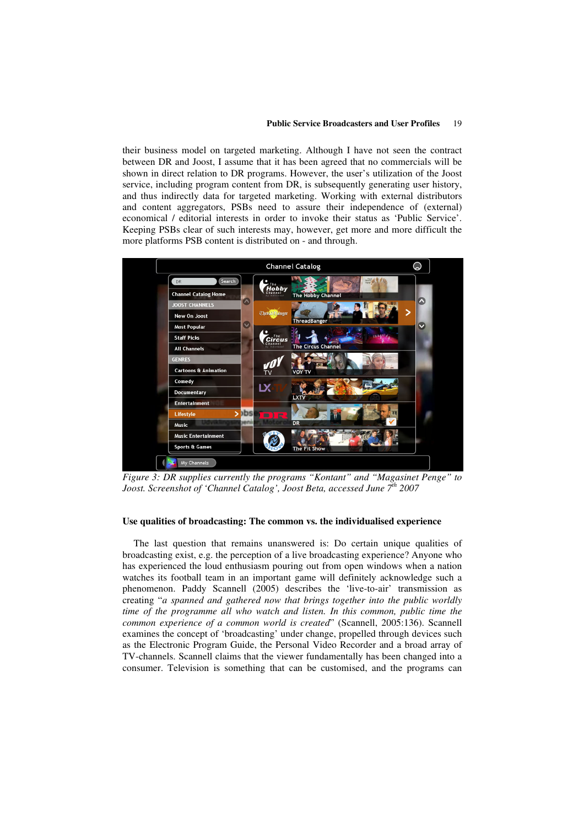#### **Public Service Broadcasters and User Profiles** 19

their business model on targeted marketing. Although I have not seen the contract between DR and Joost, I assume that it has been agreed that no commercials will be shown in direct relation to DR programs. However, the user's utilization of the Joost service, including program content from DR, is subsequently generating user history, and thus indirectly data for targeted marketing. Working with external distributors and content aggregators, PSBs need to assure their independence of (external) economical / editorial interests in order to invoke their status as 'Public Service'. Keeping PSBs clear of such interests may, however, get more and more difficult the more platforms PSB content is distributed on - and through.



*Figure 3: DR supplies currently the programs "Kontant" and "Magasinet Penge" to Joost. Screenshot of 'Channel Catalog', Joost Beta, accessed June 7 th 2007*

# **Use qualities of broadcasting: The common vs. the individualised experience**

The last question that remains unanswered is: Do certain unique qualities of broadcasting exist, e.g. the perception of a live broadcasting experience? Anyone who has experienced the loud enthusiasm pouring out from open windows when a nation watches its football team in an important game will definitely acknowledge such a phenomenon. Paddy Scannell (2005) describes the 'live-to-air' transmission as creating "*a spanned and gathered now that brings together into the public worldly time of the programme all who watch and listen. In this common, public time the common experience of a common world is created*" (Scannell, 2005:136). Scannell examines the concept of 'broadcasting' under change, propelled through devices such as the Electronic Program Guide, the Personal Video Recorder and a broad array of TV-channels. Scannell claims that the viewer fundamentally has been changed into a consumer. Television is something that can be customised, and the programs can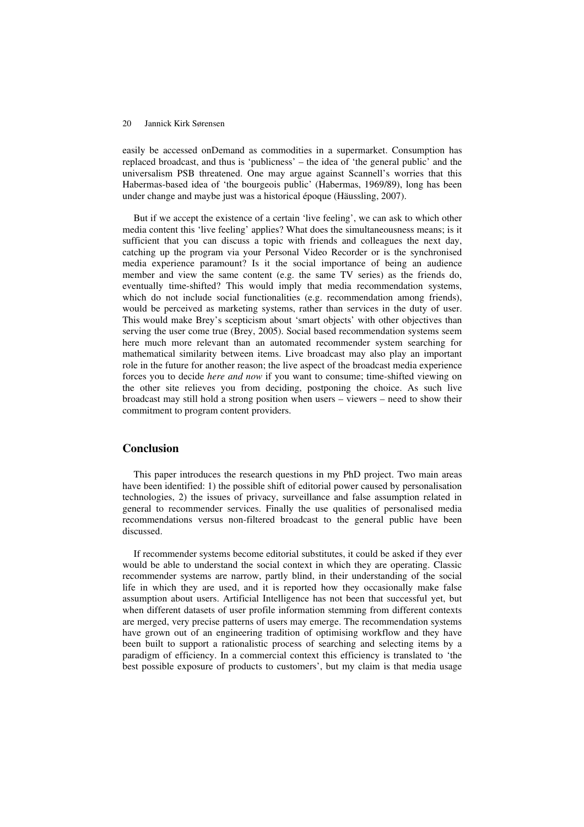easily be accessed onDemand as commodities in a supermarket. Consumption has replaced broadcast, and thus is 'publicness' – the idea of 'the general public' and the universalism PSB threatened. One may argue against Scannell's worries that this Habermas-based idea of 'the bourgeois public' (Habermas, 1969/89), long has been under change and maybe just was a historical époque (Häussling, 2007).

But if we accept the existence of a certain 'live feeling', we can ask to which other media content this 'live feeling' applies? What does the simultaneousness means; is it sufficient that you can discuss a topic with friends and colleagues the next day, catching up the program via your Personal Video Recorder or is the synchronised media experience paramount? Is it the social importance of being an audience member and view the same content (e.g. the same TV series) as the friends do, eventually time-shifted? This would imply that media recommendation systems, which do not include social functionalities (e.g. recommendation among friends), would be perceived as marketing systems, rather than services in the duty of user. This would make Brey's scepticism about 'smart objects' with other objectives than serving the user come true (Brey, 2005). Social based recommendation systems seem here much more relevant than an automated recommender system searching for mathematical similarity between items. Live broadcast may also play an important role in the future for another reason; the live aspect of the broadcast media experience forces you to decide *here and now* if you want to consume; time-shifted viewing on the other site relieves you from deciding, postponing the choice. As such live broadcast may still hold a strong position when users – viewers – need to show their commitment to program content providers.

# **Conclusion**

This paper introduces the research questions in my PhD project. Two main areas have been identified: 1) the possible shift of editorial power caused by personalisation technologies, 2) the issues of privacy, surveillance and false assumption related in general to recommender services. Finally the use qualities of personalised media recommendations versus non-filtered broadcast to the general public have been discussed.

If recommender systems become editorial substitutes, it could be asked if they ever would be able to understand the social context in which they are operating. Classic recommender systems are narrow, partly blind, in their understanding of the social life in which they are used, and it is reported how they occasionally make false assumption about users. Artificial Intelligence has not been that successful yet, but when different datasets of user profile information stemming from different contexts are merged, very precise patterns of users may emerge. The recommendation systems have grown out of an engineering tradition of optimising workflow and they have been built to support a rationalistic process of searching and selecting items by a paradigm of efficiency. In a commercial context this efficiency is translated to 'the best possible exposure of products to customers', but my claim is that media usage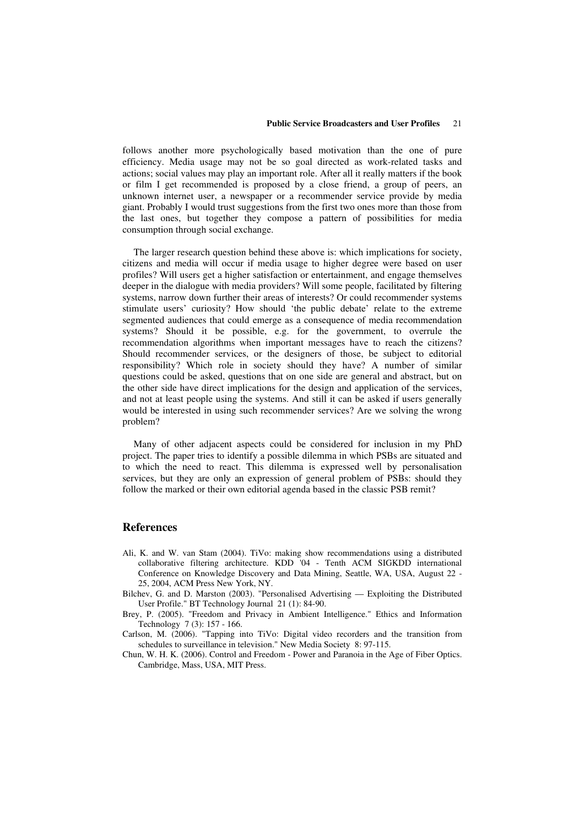#### **Public Service Broadcasters and User Profiles** 21

follows another more psychologically based motivation than the one of pure efficiency. Media usage may not be so goal directed as work-related tasks and actions; social values may play an important role. After all it really matters if the book or film I get recommended is proposed by a close friend, a group of peers, an unknown internet user, a newspaper or a recommender service provide by media giant. Probably I would trust suggestions from the first two ones more than those from the last ones, but together they compose a pattern of possibilities for media consumption through social exchange.

The larger research question behind these above is: which implications for society, citizens and media will occur if media usage to higher degree were based on user profiles? Will users get a higher satisfaction or entertainment, and engage themselves deeper in the dialogue with media providers? Will some people, facilitated by filtering systems, narrow down further their areas of interests? Or could recommender systems stimulate users' curiosity? How should 'the public debate' relate to the extreme segmented audiences that could emerge as a consequence of media recommendation systems? Should it be possible, e.g. for the government, to overrule the recommendation algorithms when important messages have to reach the citizens? Should recommender services, or the designers of those, be subject to editorial responsibility? Which role in society should they have? A number of similar questions could be asked, questions that on one side are general and abstract, but on the other side have direct implications for the design and application of the services, and not at least people using the systems. And still it can be asked if users generally would be interested in using such recommender services? Are we solving the wrong problem?

Many of other adjacent aspects could be considered for inclusion in my PhD project. The paper tries to identify a possible dilemma in which PSBs are situated and to which the need to react. This dilemma is expressed well by personalisation services, but they are only an expression of general problem of PSBs: should they follow the marked or their own editorial agenda based in the classic PSB remit?

# **References**

- Ali, K. and W. van Stam (2004). TiVo: making show recommendations using a distributed collaborative filtering architecture. KDD '04 - Tenth ACM SIGKDD international Conference on Knowledge Discovery and Data Mining, Seattle, WA, USA, August 22 - 25, 2004, ACM Press New York, NY.
- Bilchev, G. and D. Marston (2003). "Personalised Advertising Exploiting the Distributed User Profile." BT Technology Journal 21 (1): 84-90.
- Brey, P. (2005). "Freedom and Privacy in Ambient Intelligence." Ethics and Information Technology 7 (3): 157 - 166.
- Carlson, M. (2006). "Tapping into TiVo: Digital video recorders and the transition from schedules to surveillance in television." New Media Society 8: 97-115.
- Chun, W. H. K. (2006). Control and Freedom Power and Paranoia in the Age of Fiber Optics. Cambridge, Mass, USA, MIT Press.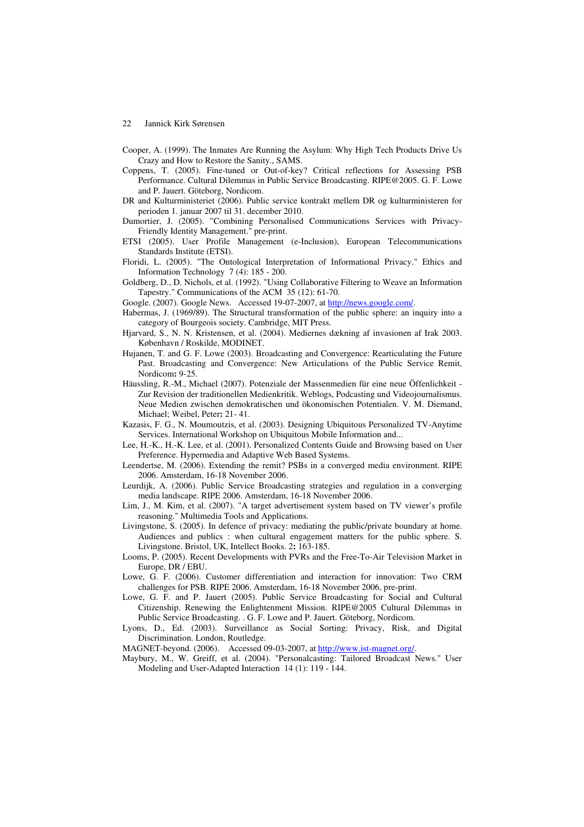- Cooper, A. (1999). The Inmates Are Running the Asylum: Why High Tech Products Drive Us Crazy and How to Restore the Sanity., SAMS.
- Coppens, T. (2005). Fine-tuned or Out-of-key? Critical reflections for Assessing PSB Performance. Cultural Dilemmas in Public Service Broadcasting. RIPE@2005. G. F. Lowe and P. Jauert. Göteborg, Nordicom.
- DR and Kulturministeriet (2006). Public service kontrakt mellem DR og kulturministeren for perioden 1. januar 2007 til 31. december 2010.
- Dumortier, J. (2005). "Combining Personalised Communications Services with Privacy-Friendly Identity Management." pre-print.
- ETSI (2005). User Profile Management (e-Inclusion), European Telecommunications Standards Institute (ETSI).
- Floridi, L. (2005). "The Ontological Interpretation of Informational Privacy." Ethics and Information Technology 7 (4): 185 - 200.
- Goldberg, D., D. Nichols, et al. (1992). "Using Collaborative Filtering to Weave an Information Tapestry." Communications of the ACM 35 (12): 61-70.
- Google. (2007). Google News. Accessed 19-07-2007, at http://news.google.com/
- Habermas, J. (1969/89). The Structural transformation of the public sphere: an inquiry into a category of Bourgeois society. Cambridge, MIT Press.
- Hjarvard, S., N. N. Kristensen, et al. (2004). Mediernes dækning af invasionen af Irak 2003. København / Roskilde, MODINET.
- Hujanen, T. and G. F. Lowe (2003). Broadcasting and Convergence: Rearticulating the Future Past. Broadcasting and Convergence: New Articulations of the Public Service Remit, Nordicom**:** 9-25.
- Häussling, R.-M., Michael (2007). Potenziale der Massenmedien für eine neue Öffenlichkeit Zur Revision der traditionellen Medienkritik. Weblogs, Podcasting und Videojournalismus. Neue Medien zwischen demokratischen und ökonomischen Potentialen. V. M. Diemand, Michael; Weibel, Peter**:** 21- 41.
- Kazasis, F. G., N. Moumoutzis, et al. (2003). Designing Ubiquitous Personalized TV-Anytime Services. International Workshop on Ubiquitous Mobile Information and...
- Lee, H.-K., H.-K. Lee, et al. (2001). Personalized Contents Guide and Browsing based on User Preference. Hypermedia and Adaptive Web Based Systems.
- Leendertse, M. (2006). Extending the remit? PSBs in a converged media environment. RIPE 2006. Amsterdam, 16-18 November 2006.
- Leurdijk, A. (2006). Public Service Broadcasting strategies and regulation in a converging media landscape. RIPE 2006. Amsterdam, 16-18 November 2006.
- Lim, J., M. Kim, et al. (2007). "A target advertisement system based on TV viewer's profile reasoning." Multimedia Tools and Applications.
- Livingstone, S. (2005). In defence of privacy: mediating the public/private boundary at home. Audiences and publics : when cultural engagement matters for the public sphere. S. Livingstone. Bristol, UK, Intellect Books. 2**:** 163-185.
- Looms, P. (2005). Recent Developments with PVRs and the Free-To-Air Television Market in Europe, DR / EBU.
- Lowe, G. F. (2006). Customer differentiation and interaction for innovation: Two CRM challenges for PSB. RIPE 2006. Amsterdam, 16-18 November 2006, pre-print.
- Lowe, G. F. and P. Jauert (2005). Public Service Broadcasting for Social and Cultural Citizenship. Renewing the Enlightenment Mission. RIPE@2005 Cultural Dilemmas in Public Service Broadcasting. . G. F. Lowe and P. Jauert. Göteborg, Nordicom.
- Lyons, D., Ed. (2003). Surveillance as Social Sorting: Privacy, Risk, and Digital Discrimination. London, Routledge.
- MAGNET-beyond. (2006). Accessed 09-03-2007, at http://www.ist-magnet.org/.
- Maybury, M., W. Greiff, et al. (2004). "Personalcasting: Tailored Broadcast News." User Modeling and User-Adapted Interaction 14 (1): 119 - 144.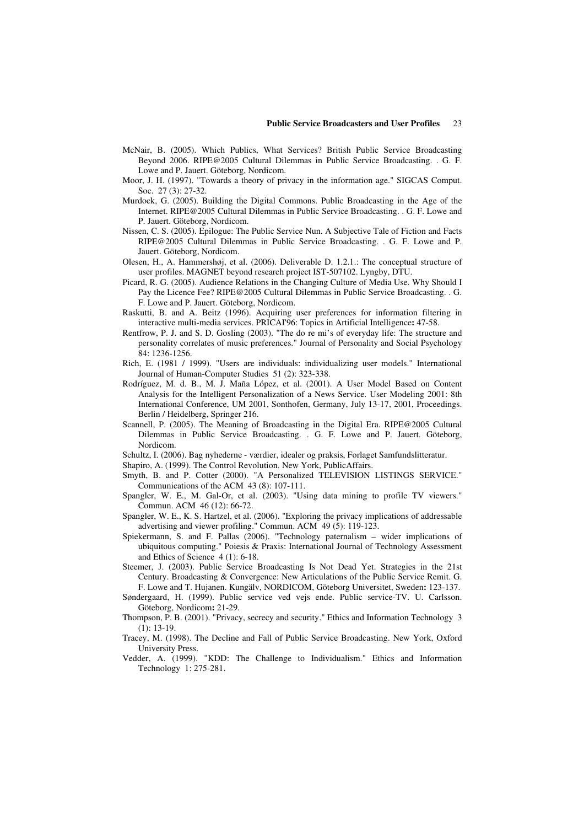- McNair, B. (2005). Which Publics, What Services? British Public Service Broadcasting Beyond 2006. RIPE@2005 Cultural Dilemmas in Public Service Broadcasting. . G. F. Lowe and P. Jauert. Göteborg, Nordicom.
- Moor, J. H. (1997). "Towards a theory of privacy in the information age." SIGCAS Comput. Soc. 27 (3): 27-32.
- Murdock, G. (2005). Building the Digital Commons. Public Broadcasting in the Age of the Internet. RIPE@2005 Cultural Dilemmas in Public Service Broadcasting. . G. F. Lowe and P. Jauert. Göteborg, Nordicom.
- Nissen, C. S. (2005). Epilogue: The Public Service Nun. A Subjective Tale of Fiction and Facts RIPE@2005 Cultural Dilemmas in Public Service Broadcasting. . G. F. Lowe and P. Jauert. Göteborg, Nordicom.
- Olesen, H., A. Hammershøj, et al. (2006). Deliverable D. 1.2.1.: The conceptual structure of user profiles. MAGNET beyond research project IST-507102. Lyngby, DTU.
- Picard, R. G. (2005). Audience Relations in the Changing Culture of Media Use. Why Should I Pay the Licence Fee? RIPE@2005 Cultural Dilemmas in Public Service Broadcasting. . G. F. Lowe and P. Jauert. Göteborg, Nordicom.
- Raskutti, B. and A. Beitz (1996). Acquiring user preferences for information filtering in interactive multi-media services. PRICAI'96: Topics in Artificial Intelligence**:** 47-58.
- Rentfrow, P. J. and S. D. Gosling (2003). "The do re mi's of everyday life: The structure and personality correlates of music preferences." Journal of Personality and Social Psychology 84: 1236-1256.
- Rich, E. (1981 / 1999). "Users are individuals: individualizing user models." International Journal of Human-Computer Studies 51 (2): 323-338.
- Rodríguez, M. d. B., M. J. Maña López, et al. (2001). A User Model Based on Content Analysis for the Intelligent Personalization of a News Service. User Modeling 2001: 8th International Conference, UM 2001, Sonthofen, Germany, July 13-17, 2001, Proceedings. Berlin / Heidelberg, Springer 216.
- Scannell, P. (2005). The Meaning of Broadcasting in the Digital Era. RIPE@2005 Cultural Dilemmas in Public Service Broadcasting. . G. F. Lowe and P. Jauert. Göteborg, Nordicom.
- Schultz, I. (2006). Bag nyhederne værdier, idealer og praksis, Forlaget Samfundslitteratur.
- Shapiro, A. (1999). The Control Revolution. New York, PublicAffairs.
- Smyth, B. and P. Cotter (2000). "A Personalized TELEVISION LISTINGS SERVICE." Communications of the ACM 43 (8): 107-111.
- Spangler, W. E., M. Gal-Or, et al. (2003). "Using data mining to profile TV viewers." Commun. ACM 46 (12): 66-72.
- Spangler, W. E., K. S. Hartzel, et al. (2006). "Exploring the privacy implications of addressable advertising and viewer profiling." Commun. ACM 49 (5): 119-123.
- Spiekermann, S. and F. Pallas (2006). "Technology paternalism wider implications of ubiquitous computing." Poiesis & Praxis: International Journal of Technology Assessment and Ethics of Science 4 (1): 6-18.
- Steemer, J. (2003). Public Service Broadcasting Is Not Dead Yet. Strategies in the 21st Century. Broadcasting & Convergence: New Articulations of the Public Service Remit. G. F. Lowe and T. Hujanen. Kungälv, NORDICOM, Göteborg Universitet, Sweden**:** 123-137.
- Søndergaard, H. (1999). Public service ved vejs ende. Public service-TV. U. Carlsson. Göteborg, Nordicom**:** 21-29.
- Thompson, P. B. (2001). "Privacy, secrecy and security." Ethics and Information Technology 3  $(1): 13-19.$
- Tracey, M. (1998). The Decline and Fall of Public Service Broadcasting. New York, Oxford University Press.
- Vedder, A. (1999). "KDD: The Challenge to Individualism." Ethics and Information Technology 1: 275-281.